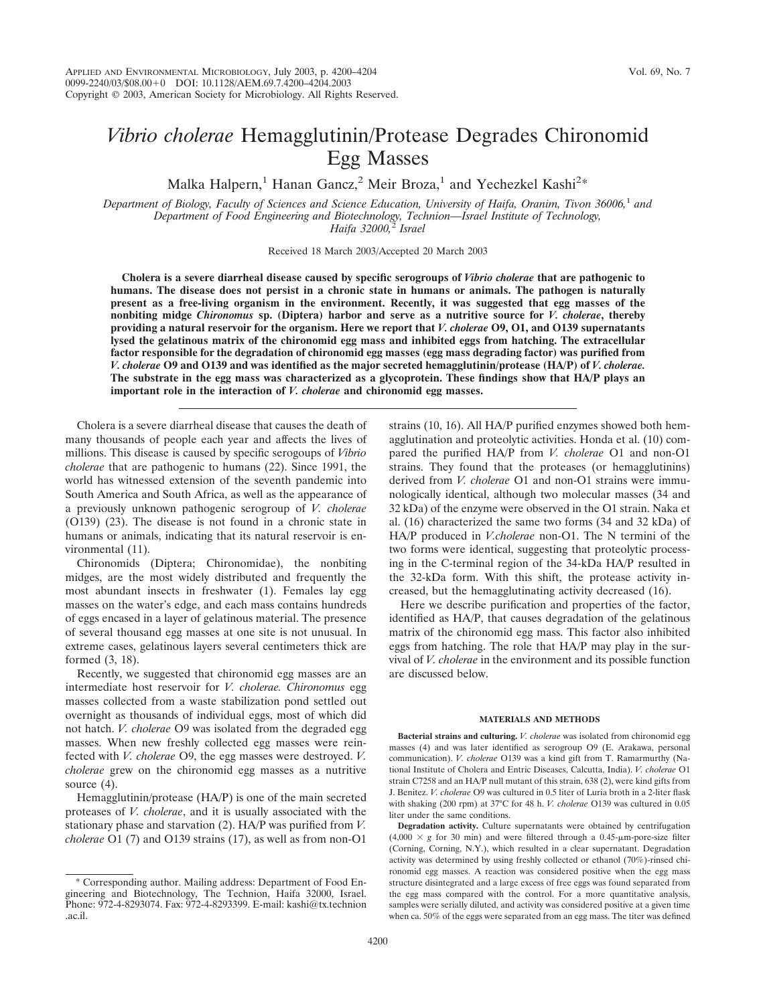# *Vibrio cholerae* Hemagglutinin/Protease Degrades Chironomid Egg Masses

Malka Halpern,<sup>1</sup> Hanan Gancz,<sup>2</sup> Meir Broza,<sup>1</sup> and Yechezkel Kashi<sup>2\*</sup>

*Department of Biology, Faculty of Sciences and Science Education, University of Haifa, Oranim, Tivon 36006,*<sup>1</sup> *and Department of Food Engineering and Biotechnology, Technion—Israel Institute of Technology, Haifa 32000,*<sup>2</sup> *Israel*

Received 18 March 2003/Accepted 20 March 2003

**Cholera is a severe diarrheal disease caused by specific serogroups of** *Vibrio cholerae* **that are pathogenic to humans. The disease does not persist in a chronic state in humans or animals. The pathogen is naturally present as a free-living organism in the environment. Recently, it was suggested that egg masses of the nonbiting midge** *Chironomus* **sp. (Diptera) harbor and serve as a nutritive source for** *V. cholerae***, thereby providing a natural reservoir for the organism. Here we report that** *V. cholerae* **O9, O1, and O139 supernatants lysed the gelatinous matrix of the chironomid egg mass and inhibited eggs from hatching. The extracellular factor responsible for the degradation of chironomid egg masses (egg mass degrading factor) was purified from** *V. cholerae* **O9 and O139 and was identified as the major secreted hemagglutinin/protease (HA/P) of** *V. cholerae.* **The substrate in the egg mass was characterized as a glycoprotein. These findings show that HA/P plays an important role in the interaction of** *V. cholerae* **and chironomid egg masses.**

Cholera is a severe diarrheal disease that causes the death of many thousands of people each year and affects the lives of millions. This disease is caused by specific serogoups of *Vibrio cholerae* that are pathogenic to humans (22). Since 1991, the world has witnessed extension of the seventh pandemic into South America and South Africa, as well as the appearance of a previously unknown pathogenic serogroup of *V. cholerae* (O139) (23). The disease is not found in a chronic state in humans or animals, indicating that its natural reservoir is environmental (11).

Chironomids (Diptera; Chironomidae), the nonbiting midges, are the most widely distributed and frequently the most abundant insects in freshwater (1). Females lay egg masses on the water's edge, and each mass contains hundreds of eggs encased in a layer of gelatinous material. The presence of several thousand egg masses at one site is not unusual. In extreme cases, gelatinous layers several centimeters thick are formed (3, 18).

Recently, we suggested that chironomid egg masses are an intermediate host reservoir for *V. cholerae. Chironomus* egg masses collected from a waste stabilization pond settled out overnight as thousands of individual eggs, most of which did not hatch. *V. cholerae* O9 was isolated from the degraded egg masses. When new freshly collected egg masses were reinfected with *V. cholerae* O9, the egg masses were destroyed. *V. cholerae* grew on the chironomid egg masses as a nutritive source  $(4)$ .

Hemagglutinin/protease (HA/P) is one of the main secreted proteases of *V. cholerae*, and it is usually associated with the stationary phase and starvation (2). HA/P was purified from *V. cholerae* O1 (7) and O139 strains (17), as well as from non-O1

strains (10, 16). All HA/P purified enzymes showed both hemagglutination and proteolytic activities. Honda et al. (10) compared the purified HA/P from *V. cholerae* O1 and non-O1 strains. They found that the proteases (or hemagglutinins) derived from *V. cholerae* O1 and non-O1 strains were immunologically identical, although two molecular masses (34 and 32 kDa) of the enzyme were observed in the O1 strain. Naka et al. (16) characterized the same two forms (34 and 32 kDa) of HA/P produced in *V.cholerae* non-O1. The N termini of the two forms were identical, suggesting that proteolytic processing in the C-terminal region of the 34-kDa HA/P resulted in the 32-kDa form. With this shift, the protease activity increased, but the hemagglutinating activity decreased (16).

Here we describe purification and properties of the factor, identified as HA/P, that causes degradation of the gelatinous matrix of the chironomid egg mass. This factor also inhibited eggs from hatching. The role that HA/P may play in the survival of *V. cholerae* in the environment and its possible function are discussed below.

#### **MATERIALS AND METHODS**

**Bacterial strains and culturing.** *V. cholerae* was isolated from chironomid egg masses (4) and was later identified as serogroup O9 (E. Arakawa, personal communication). *V. cholerae* O139 was a kind gift from T. Ramarmurthy (National Institute of Cholera and Entric Diseases, Calcutta, India). *V. cholerae* O1 strain C7258 and an HA/P null mutant of this strain, 638 (2), were kind gifts from J. Benitez. *V. cholerae* O9 was cultured in 0.5 liter of Luria broth in a 2-liter flask with shaking (200 rpm) at 37°C for 48 h. *V. cholerae* O139 was cultured in 0.05 liter under the same conditions.

**Degradation activity.** Culture supernatants were obtained by centrifugation  $(4,000 \times g$  for 30 min) and were filtered through a 0.45- $\mu$ m-pore-size filter (Corning, Corning, N.Y.), which resulted in a clear supernatant. Degradation activity was determined by using freshly collected or ethanol (70%)-rinsed chironomid egg masses. A reaction was considered positive when the egg mass structure disintegrated and a large excess of free eggs was found separated from the egg mass compared with the control. For a more quantitative analysis, samples were serially diluted, and activity was considered positive at a given time when ca. 50% of the eggs were separated from an egg mass. The titer was defined

<sup>\*</sup> Corresponding author. Mailing address: Department of Food Engineering and Biotechnology, The Technion, Haifa 32000, Israel. Phone: 972-4-8293074. Fax: 972-4-8293399. E-mail: kashi@tx.technion .ac.il.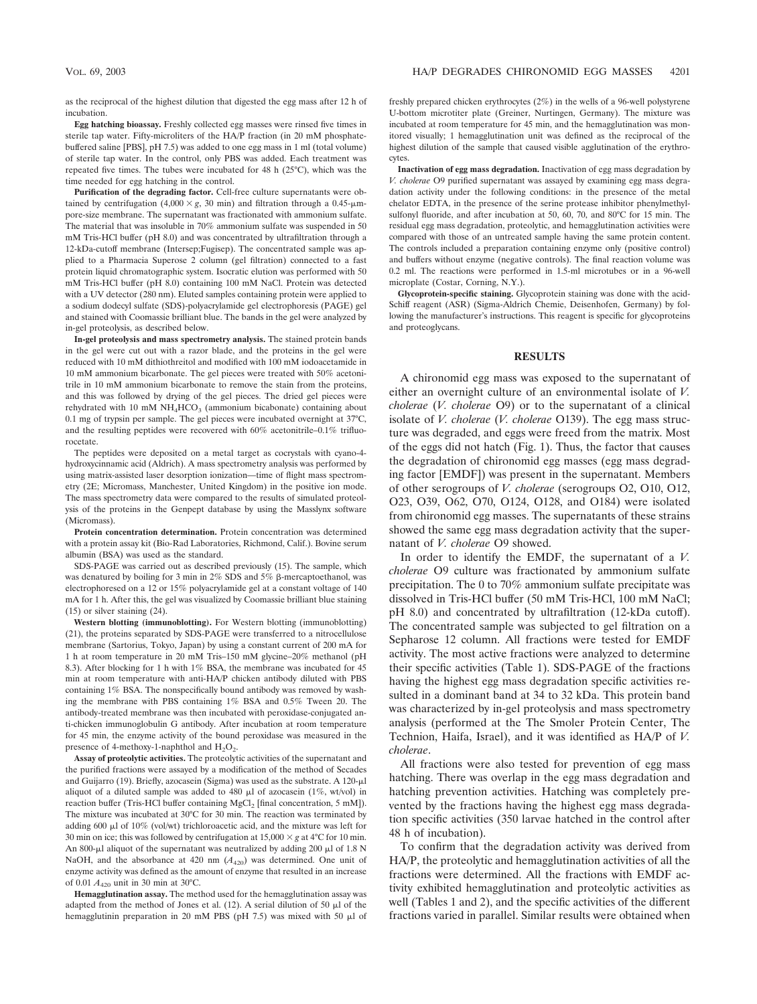as the reciprocal of the highest dilution that digested the egg mass after 12 h of incubation.

**Egg hatching bioassay.** Freshly collected egg masses were rinsed five times in sterile tap water. Fifty-microliters of the HA/P fraction (in 20 mM phosphatebuffered saline [PBS], pH 7.5) was added to one egg mass in 1 ml (total volume) of sterile tap water. In the control, only PBS was added. Each treatment was repeated five times. The tubes were incubated for 48 h (25°C), which was the time needed for egg hatching in the control.

**Purification of the degrading factor.** Cell-free culture supernatants were obtained by centrifugation  $(4,000 \times g, 30 \text{ min})$  and filtration through a 0.45- $\mu$ mpore-size membrane. The supernatant was fractionated with ammonium sulfate. The material that was insoluble in 70% ammonium sulfate was suspended in 50 mM Tris-HCl buffer (pH 8.0) and was concentrated by ultrafiltration through a 12-kDa-cutoff membrane (Intersep;Fugisep). The concentrated sample was applied to a Pharmacia Superose 2 column (gel filtration) connected to a fast protein liquid chromatographic system. Isocratic elution was performed with 50 mM Tris-HCl buffer (pH 8.0) containing 100 mM NaCl. Protein was detected with a UV detector (280 nm). Eluted samples containing protein were applied to a sodium dodecyl sulfate (SDS)-polyacrylamide gel electrophoresis (PAGE) gel and stained with Coomassie brilliant blue. The bands in the gel were analyzed by in-gel proteolysis, as described below.

**In-gel proteolysis and mass spectrometry analysis.** The stained protein bands in the gel were cut out with a razor blade, and the proteins in the gel were reduced with 10 mM dithiothreitol and modified with 100 mM iodoacetamide in 10 mM ammonium bicarbonate. The gel pieces were treated with 50% acetonitrile in 10 mM ammonium bicarbonate to remove the stain from the proteins, and this was followed by drying of the gel pieces. The dried gel pieces were rehydrated with 10 mM NH<sub>4</sub>HCO<sub>3</sub> (ammonium bicabonate) containing about 0.1 mg of trypsin per sample. The gel pieces were incubated overnight at 37°C, and the resulting peptides were recovered with 60% acetonitrile–0.1% trifluorocetate.

The peptides were deposited on a metal target as cocrystals with cyano-4 hydroxycinnamic acid (Aldrich). A mass spectrometry analysis was performed by using matrix-assisted laser desorption ionization—time of flight mass spectrometry (2E; Micromass, Manchester, United Kingdom) in the positive ion mode. The mass spectrometry data were compared to the results of simulated proteolysis of the proteins in the Genpept database by using the Masslynx software (Micromass).

**Protein concentration determination.** Protein concentration was determined with a protein assay kit (Bio-Rad Laboratories, Richmond, Calif.). Bovine serum albumin (BSA) was used as the standard.

SDS-PAGE was carried out as described previously (15). The sample, which was denatured by boiling for 3 min in  $2\%$  SDS and  $5\%$   $\beta$ -mercaptoethanol, was electrophoresed on a 12 or 15% polyacrylamide gel at a constant voltage of 140 mA for 1 h. After this, the gel was visualized by Coomassie brilliant blue staining (15) or silver staining (24).

**Western blotting (immunoblotting).** For Western blotting (immunoblotting) (21), the proteins separated by SDS-PAGE were transferred to a nitrocellulose membrane (Sartorius, Tokyo, Japan) by using a constant current of 200 mA for 1 h at room temperature in 20 mM Tris–150 mM glycine–20% methanol (pH 8.3). After blocking for 1 h with 1% BSA, the membrane was incubated for 45 min at room temperature with anti-HA/P chicken antibody diluted with PBS containing 1% BSA. The nonspecifically bound antibody was removed by washing the membrane with PBS containing 1% BSA and 0.5% Tween 20. The antibody-treated membrane was then incubated with peroxidase-conjugated anti-chicken immunoglobulin G antibody. After incubation at room temperature for 45 min, the enzyme activity of the bound peroxidase was measured in the presence of 4-methoxy-1-naphthol and  $H_2O_2$ .

**Assay of proteolytic activities.** The proteolytic activities of the supernatant and the purified fractions were assayed by a modification of the method of Secades and Guijarro (19). Briefly, azocasein (Sigma) was used as the substrate. A  $120$ - $\mu$ l aliquot of a diluted sample was added to 480  $\mu$ l of azocasein (1%, wt/vol) in reaction buffer (Tris-HCl buffer containing  $MgCl<sub>2</sub>$  [final concentration, 5 mM]). The mixture was incubated at 30°C for 30 min. The reaction was terminated by adding 600  $\mu$ l of 10% (vol/wt) trichloroacetic acid, and the mixture was left for 30 min on ice; this was followed by centrifugation at  $15,000 \times g$  at  $4^{\circ}$ C for 10 min. An 800- $\mu$ l aliquot of the supernatant was neutralized by adding 200  $\mu$ l of 1.8 N NaOH, and the absorbance at 420 nm  $(A_{420})$  was determined. One unit of enzyme activity was defined as the amount of enzyme that resulted in an increase of 0.01 *A*<sup>420</sup> unit in 30 min at 30°C.

**Hemagglutination assay.** The method used for the hemagglutination assay was adapted from the method of Jones et al.  $(12)$ . A serial dilution of 50  $\mu$ l of the hemagglutinin preparation in 20 mM PBS (pH 7.5) was mixed with 50  $\mu$ l of

freshly prepared chicken erythrocytes (2%) in the wells of a 96-well polystyrene U-bottom microtiter plate (Greiner, Nurtingen, Germany). The mixture was incubated at room temperature for 45 min, and the hemagglutination was monitored visually; 1 hemagglutination unit was defined as the reciprocal of the highest dilution of the sample that caused visible agglutination of the erythrocytes.

**Inactivation of egg mass degradation.** Inactivation of egg mass degradation by *V. cholerae* O9 purified supernatant was assayed by examining egg mass degradation activity under the following conditions: in the presence of the metal chelator EDTA, in the presence of the serine protease inhibitor phenylmethylsulfonyl fluoride, and after incubation at 50, 60, 70, and 80°C for 15 min. The residual egg mass degradation, proteolytic, and hemagglutination activities were compared with those of an untreated sample having the same protein content. The controls included a preparation containing enzyme only (positive control) and buffers without enzyme (negative controls). The final reaction volume was 0.2 ml. The reactions were performed in 1.5-ml microtubes or in a 96-well microplate (Costar, Corning, N.Y.).

**Glycoprotein-specific staining.** Glycoprotein staining was done with the acid-Schiff reagent (ASR) (Sigma-Aldrich Chemie, Deisenhofen, Germany) by following the manufacturer's instructions. This reagent is specific for glycoproteins and proteoglycans.

## **RESULTS**

A chironomid egg mass was exposed to the supernatant of either an overnight culture of an environmental isolate of *V. cholerae* (*V. cholerae* O9) or to the supernatant of a clinical isolate of *V. cholerae* (*V. cholerae* O139). The egg mass structure was degraded, and eggs were freed from the matrix. Most of the eggs did not hatch (Fig. 1). Thus, the factor that causes the degradation of chironomid egg masses (egg mass degrading factor [EMDF]) was present in the supernatant. Members of other serogroups of *V. cholerae* (serogroups O2, O10, O12, O23, O39, O62, O70, O124, O128, and O184) were isolated from chironomid egg masses. The supernatants of these strains showed the same egg mass degradation activity that the supernatant of *V. cholerae* O9 showed.

In order to identify the EMDF, the supernatant of a *V. cholerae* O9 culture was fractionated by ammonium sulfate precipitation. The 0 to 70% ammonium sulfate precipitate was dissolved in Tris-HCl buffer (50 mM Tris-HCl, 100 mM NaCl; pH 8.0) and concentrated by ultrafiltration (12-kDa cutoff). The concentrated sample was subjected to gel filtration on a Sepharose 12 column. All fractions were tested for EMDF activity. The most active fractions were analyzed to determine their specific activities (Table 1). SDS-PAGE of the fractions having the highest egg mass degradation specific activities resulted in a dominant band at 34 to 32 kDa. This protein band was characterized by in-gel proteolysis and mass spectrometry analysis (performed at the The Smoler Protein Center, The Technion, Haifa, Israel), and it was identified as HA/P of *V. cholerae*.

All fractions were also tested for prevention of egg mass hatching. There was overlap in the egg mass degradation and hatching prevention activities. Hatching was completely prevented by the fractions having the highest egg mass degradation specific activities (350 larvae hatched in the control after 48 h of incubation).

To confirm that the degradation activity was derived from HA/P, the proteolytic and hemagglutination activities of all the fractions were determined. All the fractions with EMDF activity exhibited hemagglutination and proteolytic activities as well (Tables 1 and 2), and the specific activities of the different fractions varied in parallel. Similar results were obtained when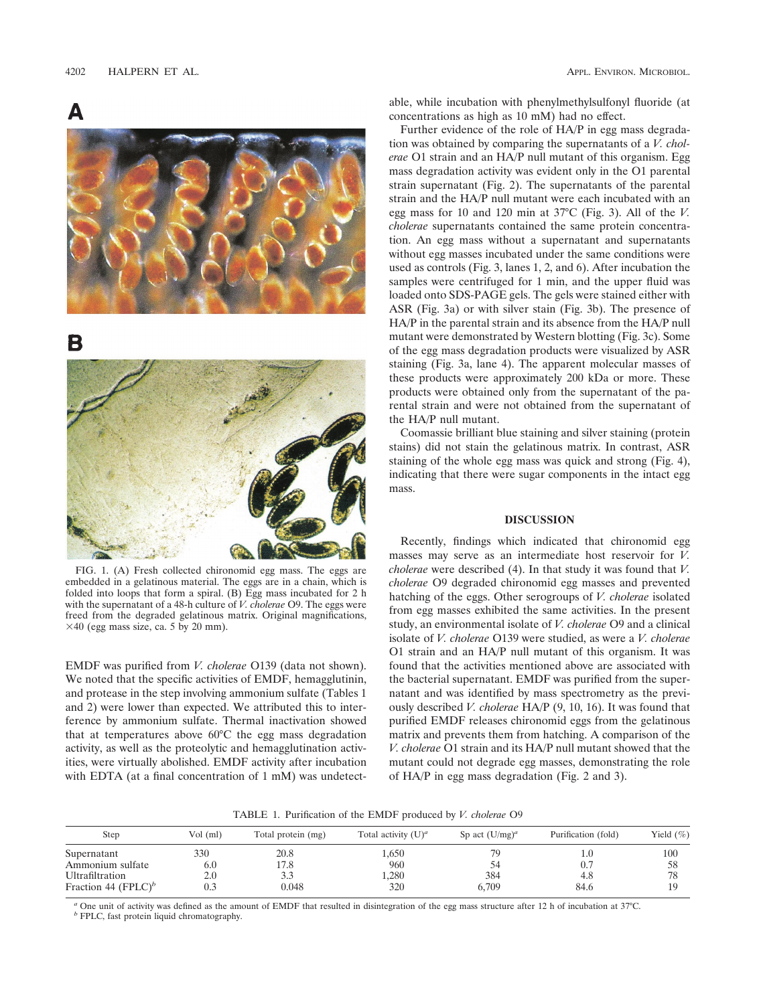Δ



B



FIG. 1. (A) Fresh collected chironomid egg mass. The eggs are embedded in a gelatinous material. The eggs are in a chain, which is folded into loops that form a spiral. (B) Egg mass incubated for 2 h with the supernatant of a 48-h culture of *V. cholerae* O9. The eggs were freed from the degraded gelatinous matrix. Original magnifications,  $\times$ 40 (egg mass size, ca. 5 by 20 mm).

EMDF was purified from *V. cholerae* O139 (data not shown). We noted that the specific activities of EMDF, hemagglutinin, and protease in the step involving ammonium sulfate (Tables 1 and 2) were lower than expected. We attributed this to interference by ammonium sulfate. Thermal inactivation showed that at temperatures above 60°C the egg mass degradation activity, as well as the proteolytic and hemagglutination activities, were virtually abolished. EMDF activity after incubation with EDTA (at a final concentration of 1 mM) was undetectable, while incubation with phenylmethylsulfonyl fluoride (at concentrations as high as 10 mM) had no effect.

Further evidence of the role of HA/P in egg mass degradation was obtained by comparing the supernatants of a *V. cholerae* O1 strain and an HA/P null mutant of this organism. Egg mass degradation activity was evident only in the O1 parental strain supernatant (Fig. 2). The supernatants of the parental strain and the HA/P null mutant were each incubated with an egg mass for 10 and 120 min at 37°C (Fig. 3). All of the *V. cholerae* supernatants contained the same protein concentration. An egg mass without a supernatant and supernatants without egg masses incubated under the same conditions were used as controls (Fig. 3, lanes 1, 2, and 6). After incubation the samples were centrifuged for 1 min, and the upper fluid was loaded onto SDS-PAGE gels. The gels were stained either with ASR (Fig. 3a) or with silver stain (Fig. 3b). The presence of HA/P in the parental strain and its absence from the HA/P null mutant were demonstrated by Western blotting (Fig. 3c). Some of the egg mass degradation products were visualized by ASR staining (Fig. 3a, lane 4). The apparent molecular masses of these products were approximately 200 kDa or more. These products were obtained only from the supernatant of the parental strain and were not obtained from the supernatant of the HA/P null mutant.

Coomassie brilliant blue staining and silver staining (protein stains) did not stain the gelatinous matrix. In contrast, ASR staining of the whole egg mass was quick and strong (Fig. 4), indicating that there were sugar components in the intact egg mass.

#### **DISCUSSION**

Recently, findings which indicated that chironomid egg masses may serve as an intermediate host reservoir for *V. cholerae* were described (4). In that study it was found that *V. cholerae* O9 degraded chironomid egg masses and prevented hatching of the eggs. Other serogroups of *V. cholerae* isolated from egg masses exhibited the same activities. In the present study, an environmental isolate of *V. cholerae* O9 and a clinical isolate of *V. cholerae* O139 were studied, as were a *V. cholerae* O1 strain and an HA/P null mutant of this organism. It was found that the activities mentioned above are associated with the bacterial supernatant. EMDF was purified from the supernatant and was identified by mass spectrometry as the previously described *V. cholerae* HA/P (9, 10, 16). It was found that purified EMDF releases chironomid eggs from the gelatinous matrix and prevents them from hatching. A comparison of the *V. cholerae* O1 strain and its HA/P null mutant showed that the mutant could not degrade egg masses, demonstrating the role of HA/P in egg mass degradation (Fig. 2 and 3).

TABLE 1. Purification of the EMDF produced by *V. cholerae* O9

| Step                            | Vol (ml) | Total protein (mg) | Total activity $(U)^a$ | Sp act $(U/mg)^{a}$ | Purification (fold) | Yield $(\% )$ |
|---------------------------------|----------|--------------------|------------------------|---------------------|---------------------|---------------|
| Supernatant                     | 330      | 20.8               | .,650                  |                     | 1.0                 | 100           |
| Ammonium sulfate                | 6.0      | 17.8               | 960                    |                     | 0.7                 | 58            |
| Ultrafiltration                 | 2.0      | 3.3                | .280                   | 384                 | 4.8                 | 78            |
| Fraction 44 (FPLC) <sup>b</sup> | 0.3      | 0.048              | 320                    | 6.709               | 84.6                |               |

*<sup>a</sup>* One unit of activity was defined as the amount of EMDF that resulted in disintegration of the egg mass structure after 12 h of incubation at 37°C. *<sup>b</sup>* FPLC, fast protein liquid chromatography.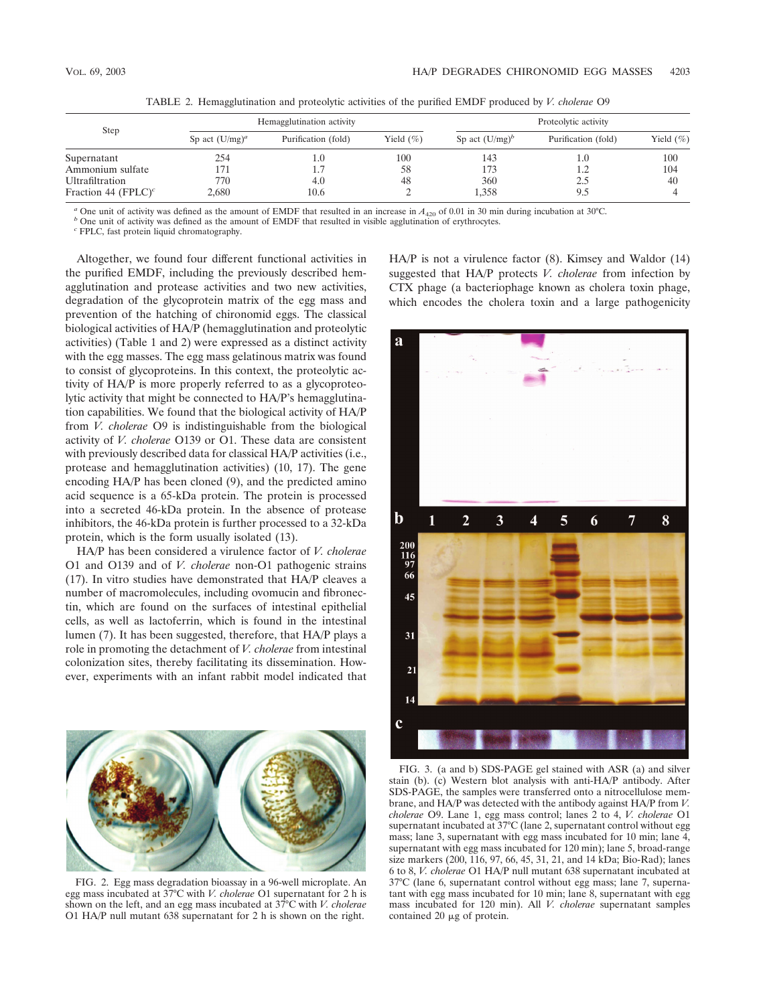| Step                            | Hemagglutination activity |                     |              | Proteolytic activity |                     |               |
|---------------------------------|---------------------------|---------------------|--------------|----------------------|---------------------|---------------|
|                                 | Sp act $(U/mg)^a$         | Purification (fold) | Yield $(\%)$ | Sp act $(U/mg)^b$    | Purification (fold) | Yield $(\% )$ |
| Supernatant                     | 254                       | $1.0\,$             | 100          | 143                  | 1.0                 | 100           |
| Ammonium sulfate                | 171                       | 1.7                 | 58           | 173                  | 1.2                 | 104           |
| Ultrafiltration                 | 770                       | 4.0                 | 48           | 360                  | 2.5                 | 40            |
| Fraction 44 (FPLC) <sup>c</sup> | 2.680                     | 10.6                |              | 1.358                | 9.5                 |               |

TABLE 2. Hemagglutination and proteolytic activities of the purified EMDF produced by *V. cholerae* O9

<sup>a</sup> One unit of activity was defined as the amount of EMDF that resulted in an increase in  $A_{420}$  of 0.01 in 30 min during incubation at 30°C.<br><sup>b</sup> One unit of activity was defined as the amount of EMDF that resulted in

Altogether, we found four different functional activities in the purified EMDF, including the previously described hemagglutination and protease activities and two new activities, degradation of the glycoprotein matrix of the egg mass and prevention of the hatching of chironomid eggs. The classical biological activities of HA/P (hemagglutination and proteolytic activities) (Table 1 and 2) were expressed as a distinct activity with the egg masses. The egg mass gelatinous matrix was found to consist of glycoproteins. In this context, the proteolytic activity of HA/P is more properly referred to as a glycoproteolytic activity that might be connected to HA/P's hemagglutination capabilities. We found that the biological activity of HA/P from *V. cholerae* O9 is indistinguishable from the biological activity of *V. cholerae* O139 or O1. These data are consistent with previously described data for classical HA/P activities (i.e., protease and hemagglutination activities) (10, 17). The gene encoding HA/P has been cloned (9), and the predicted amino acid sequence is a 65-kDa protein. The protein is processed into a secreted 46-kDa protein. In the absence of protease inhibitors, the 46-kDa protein is further processed to a 32-kDa protein, which is the form usually isolated (13).

HA/P has been considered a virulence factor of *V. cholerae* O1 and O139 and of *V. cholerae* non-O1 pathogenic strains (17). In vitro studies have demonstrated that HA/P cleaves a number of macromolecules, including ovomucin and fibronectin, which are found on the surfaces of intestinal epithelial cells, as well as lactoferrin, which is found in the intestinal lumen (7). It has been suggested, therefore, that HA/P plays a role in promoting the detachment of *V. cholerae* from intestinal colonization sites, thereby facilitating its dissemination. However, experiments with an infant rabbit model indicated that



FIG. 2. Egg mass degradation bioassay in a 96-well microplate. An egg mass incubated at 37°C with *V. cholerae* O1 supernatant for 2 h is shown on the left, and an egg mass incubated at 37°C with *V. cholerae* O1 HA/P null mutant 638 supernatant for 2 h is shown on the right.

HA/P is not a virulence factor (8). Kimsey and Waldor (14) suggested that HA/P protects *V. cholerae* from infection by CTX phage (a bacteriophage known as cholera toxin phage, which encodes the cholera toxin and a large pathogenicity



FIG. 3. (a and b) SDS-PAGE gel stained with ASR (a) and silver stain (b). (c) Western blot analysis with anti-HA/P antibody. After SDS-PAGE, the samples were transferred onto a nitrocellulose membrane, and HA/P was detected with the antibody against HA/P from *V. cholerae* O9. Lane 1, egg mass control; lanes 2 to 4, *V. cholerae* O1 supernatant incubated at 37°C (lane 2, supernatant control without egg mass; lane 3, supernatant with egg mass incubated for 10 min; lane 4, supernatant with egg mass incubated for 120 min); lane 5, broad-range size markers (200, 116, 97, 66, 45, 31, 21, and 14 kDa; Bio-Rad); lanes 6 to 8, *V. cholerae* O1 HA/P null mutant 638 supernatant incubated at 37°C (lane 6, supernatant control without egg mass; lane 7, supernatant with egg mass incubated for 10 min; lane 8, supernatant with egg mass incubated for 120 min). All *V. cholerae* supernatant samples contained 20  $\mu$ g of protein.